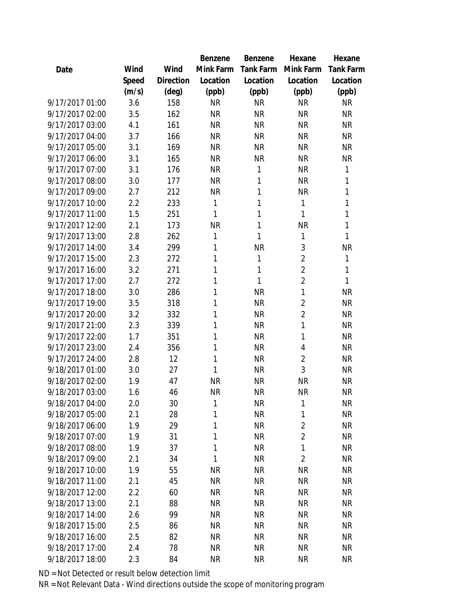|                 |       |           | <b>Benzene</b> | Benzene   | Hexane         | Hexane           |
|-----------------|-------|-----------|----------------|-----------|----------------|------------------|
| Date            | Wind  | Wind      | Mink Farm      | Tank Farm | Mink Farm      | <b>Tank Farm</b> |
|                 | Speed | Direction | Location       | Location  | Location       | Location         |
|                 | (m/s) | (deg)     | (ppb)          | (ppb)     | (ppb)          | (ppb)            |
| 9/17/2017 01:00 | 3.6   | 158       | <b>NR</b>      | <b>NR</b> | <b>NR</b>      | <b>NR</b>        |
| 9/17/2017 02:00 | 3.5   | 162       | <b>NR</b>      | <b>NR</b> | <b>NR</b>      | <b>NR</b>        |
| 9/17/2017 03:00 | 4.1   | 161       | <b>NR</b>      | <b>NR</b> | <b>NR</b>      | <b>NR</b>        |
| 9/17/2017 04:00 | 3.7   | 166       | <b>NR</b>      | <b>NR</b> | <b>NR</b>      | <b>NR</b>        |
| 9/17/2017 05:00 | 3.1   | 169       | <b>NR</b>      | <b>NR</b> | <b>NR</b>      | <b>NR</b>        |
| 9/17/2017 06:00 | 3.1   | 165       | <b>NR</b>      | <b>NR</b> | <b>NR</b>      | <b>NR</b>        |
| 9/17/2017 07:00 | 3.1   | 176       | <b>NR</b>      | 1         | <b>NR</b>      | 1                |
| 9/17/2017 08:00 | 3.0   | 177       | <b>NR</b>      | 1         | <b>NR</b>      | 1                |
| 9/17/2017 09:00 | 2.7   | 212       | <b>NR</b>      | 1         | <b>NR</b>      | 1                |
| 9/17/2017 10:00 | 2.2   | 233       | 1              | 1         | $\mathbf{1}$   | 1                |
| 9/17/2017 11:00 | 1.5   | 251       | 1              | 1         | 1              | 1                |
| 9/17/2017 12:00 | 2.1   | 173       | <b>NR</b>      | 1         | <b>NR</b>      | 1                |
| 9/17/2017 13:00 | 2.8   | 262       | 1              | 1         | $\mathbf{1}$   | 1                |
| 9/17/2017 14:00 | 3.4   | 299       | 1              | <b>NR</b> | 3              | <b>NR</b>        |
| 9/17/2017 15:00 | 2.3   | 272       | 1              | 1         | $\overline{2}$ | 1                |
| 9/17/2017 16:00 | 3.2   | 271       | 1              | 1         | $\overline{2}$ | 1                |
| 9/17/2017 17:00 | 2.7   | 272       | 1              | 1         | $\overline{2}$ | 1                |
| 9/17/2017 18:00 | 3.0   | 286       | 1              | <b>NR</b> | 1              | <b>NR</b>        |
| 9/17/2017 19:00 | 3.5   | 318       | 1              | <b>NR</b> | $\overline{2}$ | <b>NR</b>        |
| 9/17/2017 20:00 | 3.2   | 332       | 1              | <b>NR</b> | $\overline{2}$ | <b>NR</b>        |
| 9/17/2017 21:00 | 2.3   | 339       | 1              | <b>NR</b> | 1              | <b>NR</b>        |
| 9/17/2017 22:00 | 1.7   | 351       | 1              | <b>NR</b> | 1              | <b>NR</b>        |
| 9/17/2017 23:00 | 2.4   | 356       | 1              | <b>NR</b> | $\overline{4}$ | <b>NR</b>        |
| 9/17/2017 24:00 | 2.8   | 12        | 1              | <b>NR</b> | $\overline{2}$ | <b>NR</b>        |
| 9/18/2017 01:00 | 3.0   | 27        | 1              | <b>NR</b> | 3              | <b>NR</b>        |
| 9/18/2017 02:00 | 1.9   | 47        | <b>NR</b>      | <b>NR</b> | <b>NR</b>      | <b>NR</b>        |
| 9/18/2017 03:00 | 1.6   | 46        | <b>NR</b>      | <b>NR</b> | <b>NR</b>      | <b>NR</b>        |
| 9/18/2017 04:00 | 2.0   | 30        | 1              | <b>NR</b> | 1              | <b>NR</b>        |
| 9/18/2017 05:00 | 2.1   | 28        | 1              | <b>NR</b> | 1              | <b>NR</b>        |
| 9/18/2017 06:00 | 1.9   | 29        | 1              | <b>NR</b> | $\overline{2}$ | <b>NR</b>        |
| 9/18/2017 07:00 | 1.9   | 31        | 1              | <b>NR</b> | $\overline{2}$ | <b>NR</b>        |
| 9/18/2017 08:00 | 1.9   | 37        | 1              | <b>NR</b> | $\mathbf{1}$   | <b>NR</b>        |
| 9/18/2017 09:00 | 2.1   | 34        | $\mathbf{1}$   | <b>NR</b> | $\overline{2}$ | <b>NR</b>        |
| 9/18/2017 10:00 | 1.9   | 55        | <b>NR</b>      | <b>NR</b> | <b>NR</b>      | <b>NR</b>        |
| 9/18/2017 11:00 | 2.1   | 45        | <b>NR</b>      | <b>NR</b> | <b>NR</b>      | <b>NR</b>        |
| 9/18/2017 12:00 | 2.2   | 60        | <b>NR</b>      | <b>NR</b> | <b>NR</b>      | <b>NR</b>        |
| 9/18/2017 13:00 | 2.1   | 88        | <b>NR</b>      | <b>NR</b> | <b>NR</b>      | <b>NR</b>        |
| 9/18/2017 14:00 | 2.6   | 99        | <b>NR</b>      | <b>NR</b> | <b>NR</b>      | <b>NR</b>        |
| 9/18/2017 15:00 | 2.5   | 86        | <b>NR</b>      | <b>NR</b> | <b>NR</b>      | <b>NR</b>        |
| 9/18/2017 16:00 | 2.5   | 82        | <b>NR</b>      | <b>NR</b> | <b>NR</b>      | NR               |
| 9/18/2017 17:00 | 2.4   | 78        | <b>NR</b>      | <b>NR</b> | <b>NR</b>      | <b>NR</b>        |
| 9/18/2017 18:00 | 2.3   | 84        | <b>NR</b>      | <b>NR</b> | <b>NR</b>      | <b>NR</b>        |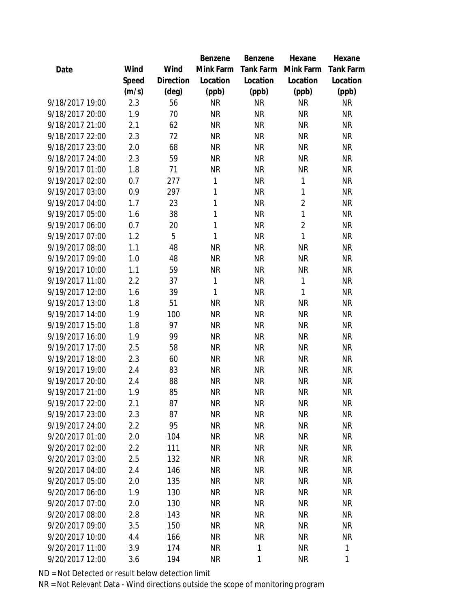|                 |       |           | Benzene   | Benzene          | Hexane         | Hexane    |
|-----------------|-------|-----------|-----------|------------------|----------------|-----------|
| Date            | Wind  | Wind      | Mink Farm | <b>Tank Farm</b> | Mink Farm      | Tank Farm |
|                 | Speed | Direction | Location  | Location         | Location       | Location  |
|                 | (m/s) | (deg)     | (ppb)     | (ppb)            | (ppb)          | (ppb)     |
| 9/18/2017 19:00 | 2.3   | 56        | <b>NR</b> | <b>NR</b>        | <b>NR</b>      | <b>NR</b> |
| 9/18/2017 20:00 | 1.9   | 70        | <b>NR</b> | <b>NR</b>        | <b>NR</b>      | <b>NR</b> |
| 9/18/2017 21:00 | 2.1   | 62        | <b>NR</b> | <b>NR</b>        | <b>NR</b>      | <b>NR</b> |
| 9/18/2017 22:00 | 2.3   | 72        | <b>NR</b> | <b>NR</b>        | <b>NR</b>      | <b>NR</b> |
| 9/18/2017 23:00 | 2.0   | 68        | <b>NR</b> | <b>NR</b>        | <b>NR</b>      | <b>NR</b> |
| 9/18/2017 24:00 | 2.3   | 59        | <b>NR</b> | <b>NR</b>        | <b>NR</b>      | <b>NR</b> |
| 9/19/2017 01:00 | 1.8   | 71        | <b>NR</b> | <b>NR</b>        | <b>NR</b>      | <b>NR</b> |
| 9/19/2017 02:00 | 0.7   | 277       | 1         | <b>NR</b>        | $\mathbf{1}$   | <b>NR</b> |
| 9/19/2017 03:00 | 0.9   | 297       | 1         | <b>NR</b>        | $\mathbf{1}$   | <b>NR</b> |
| 9/19/2017 04:00 | 1.7   | 23        | 1         | <b>NR</b>        | $\overline{2}$ | <b>NR</b> |
| 9/19/2017 05:00 | 1.6   | 38        | 1         | <b>NR</b>        | $\mathbf{1}$   | <b>NR</b> |
| 9/19/2017 06:00 | 0.7   | 20        | 1         | <b>NR</b>        | $\overline{2}$ | <b>NR</b> |
| 9/19/2017 07:00 | 1.2   | 5         | 1         | <b>NR</b>        | 1              | <b>NR</b> |
| 9/19/2017 08:00 | 1.1   | 48        | <b>NR</b> | <b>NR</b>        | <b>NR</b>      | <b>NR</b> |
| 9/19/2017 09:00 | 1.0   | 48        | <b>NR</b> | <b>NR</b>        | <b>NR</b>      | <b>NR</b> |
| 9/19/2017 10:00 | 1.1   | 59        | <b>NR</b> | <b>NR</b>        | <b>NR</b>      | <b>NR</b> |
| 9/19/2017 11:00 | 2.2   | 37        | 1         | <b>NR</b>        | $\mathbf{1}$   | <b>NR</b> |
| 9/19/2017 12:00 | 1.6   | 39        | 1         | <b>NR</b>        | 1              | <b>NR</b> |
| 9/19/2017 13:00 | 1.8   | 51        | <b>NR</b> | <b>NR</b>        | <b>NR</b>      | <b>NR</b> |
| 9/19/2017 14:00 | 1.9   | 100       | <b>NR</b> | <b>NR</b>        | <b>NR</b>      | <b>NR</b> |
| 9/19/2017 15:00 | 1.8   | 97        | <b>NR</b> | <b>NR</b>        | <b>NR</b>      | <b>NR</b> |
| 9/19/2017 16:00 | 1.9   | 99        | <b>NR</b> | <b>NR</b>        | <b>NR</b>      | <b>NR</b> |
| 9/19/2017 17:00 | 2.5   | 58        | <b>NR</b> | <b>NR</b>        | <b>NR</b>      | <b>NR</b> |
| 9/19/2017 18:00 | 2.3   | 60        | <b>NR</b> | <b>NR</b>        | <b>NR</b>      | <b>NR</b> |
| 9/19/2017 19:00 | 2.4   | 83        | <b>NR</b> | <b>NR</b>        | <b>NR</b>      | <b>NR</b> |
| 9/19/2017 20:00 | 2.4   | 88        | <b>NR</b> | <b>NR</b>        | <b>NR</b>      | <b>NR</b> |
| 9/19/2017 21:00 | 1.9   | 85        | <b>NR</b> | <b>NR</b>        | <b>NR</b>      | <b>NR</b> |
| 9/19/2017 22:00 | 2.1   | 87        | <b>NR</b> | <b>NR</b>        | <b>NR</b>      | <b>NR</b> |
| 9/19/2017 23:00 | 2.3   | 87        | <b>NR</b> | <b>NR</b>        | <b>NR</b>      | <b>NR</b> |
| 9/19/2017 24:00 | 2.2   | 95        | <b>NR</b> | <b>NR</b>        | <b>NR</b>      | <b>NR</b> |
| 9/20/2017 01:00 | 2.0   | 104       | <b>NR</b> | <b>NR</b>        | <b>NR</b>      | <b>NR</b> |
| 9/20/2017 02:00 | 2.2   | 111       | <b>NR</b> | <b>NR</b>        | <b>NR</b>      | <b>NR</b> |
| 9/20/2017 03:00 | 2.5   | 132       | <b>NR</b> | <b>NR</b>        | <b>NR</b>      | <b>NR</b> |
| 9/20/2017 04:00 | 2.4   | 146       | <b>NR</b> | <b>NR</b>        | <b>NR</b>      | <b>NR</b> |
| 9/20/2017 05:00 | 2.0   | 135       | <b>NR</b> | <b>NR</b>        | <b>NR</b>      | <b>NR</b> |
| 9/20/2017 06:00 | 1.9   | 130       | <b>NR</b> | <b>NR</b>        | <b>NR</b>      | <b>NR</b> |
| 9/20/2017 07:00 | 2.0   | 130       | <b>NR</b> | <b>NR</b>        | <b>NR</b>      | <b>NR</b> |
| 9/20/2017 08:00 | 2.8   | 143       | <b>NR</b> | <b>NR</b>        | <b>NR</b>      | <b>NR</b> |
| 9/20/2017 09:00 | 3.5   | 150       | <b>NR</b> | <b>NR</b>        | <b>NR</b>      | <b>NR</b> |
| 9/20/2017 10:00 | 4.4   | 166       | <b>NR</b> | <b>NR</b>        | <b>NR</b>      | <b>NR</b> |
| 9/20/2017 11:00 | 3.9   | 174       | <b>NR</b> | 1                | <b>NR</b>      | 1         |
| 9/20/2017 12:00 | 3.6   | 194       | <b>NR</b> | 1                | <b>NR</b>      | 1         |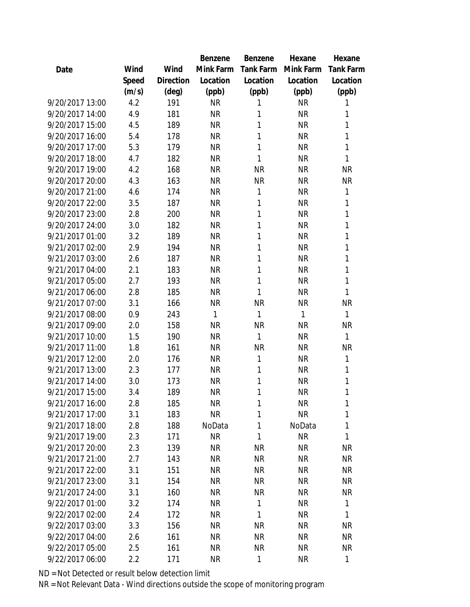|                 |       |           | Benzene   | Benzene          | Hexane    | Hexane           |
|-----------------|-------|-----------|-----------|------------------|-----------|------------------|
| Date            | Wind  | Wind      | Mink Farm | <b>Tank Farm</b> | Mink Farm | <b>Tank Farm</b> |
|                 | Speed | Direction | Location  | Location         | Location  | Location         |
|                 | (m/s) | (deg)     | (ppb)     | (ppb)            | (ppb)     | (ppb)            |
| 9/20/2017 13:00 | 4.2   | 191       | <b>NR</b> | 1                | <b>NR</b> | 1                |
| 9/20/2017 14:00 | 4.9   | 181       | <b>NR</b> | 1                | <b>NR</b> | 1                |
| 9/20/2017 15:00 | 4.5   | 189       | <b>NR</b> | 1                | <b>NR</b> | 1                |
| 9/20/2017 16:00 | 5.4   | 178       | <b>NR</b> | 1                | <b>NR</b> | 1                |
| 9/20/2017 17:00 | 5.3   | 179       | <b>NR</b> | 1                | <b>NR</b> | 1                |
| 9/20/2017 18:00 | 4.7   | 182       | <b>NR</b> | 1                | <b>NR</b> | 1                |
| 9/20/2017 19:00 | 4.2   | 168       | <b>NR</b> | <b>NR</b>        | <b>NR</b> | <b>NR</b>        |
| 9/20/2017 20:00 | 4.3   | 163       | <b>NR</b> | <b>NR</b>        | <b>NR</b> | <b>NR</b>        |
| 9/20/2017 21:00 | 4.6   | 174       | <b>NR</b> | 1                | <b>NR</b> | 1                |
| 9/20/2017 22:00 | 3.5   | 187       | <b>NR</b> | 1                | <b>NR</b> | 1                |
| 9/20/2017 23:00 | 2.8   | 200       | <b>NR</b> | 1                | <b>NR</b> | 1                |
| 9/20/2017 24:00 | 3.0   | 182       | <b>NR</b> | 1                | <b>NR</b> | 1                |
| 9/21/2017 01:00 | 3.2   | 189       | <b>NR</b> | 1                | <b>NR</b> | 1                |
| 9/21/2017 02:00 | 2.9   | 194       | <b>NR</b> | 1                | <b>NR</b> | 1                |
| 9/21/2017 03:00 | 2.6   | 187       | <b>NR</b> | 1                | <b>NR</b> | 1                |
| 9/21/2017 04:00 | 2.1   | 183       | <b>NR</b> | 1                | <b>NR</b> | 1                |
| 9/21/2017 05:00 | 2.7   | 193       | <b>NR</b> | 1                | <b>NR</b> | 1                |
| 9/21/2017 06:00 | 2.8   | 185       | <b>NR</b> | 1                | <b>NR</b> | 1                |
| 9/21/2017 07:00 | 3.1   | 166       | <b>NR</b> | <b>NR</b>        | <b>NR</b> | <b>NR</b>        |
| 9/21/2017 08:00 | 0.9   | 243       | 1         | 1                | 1         | 1                |
| 9/21/2017 09:00 | 2.0   | 158       | <b>NR</b> | <b>NR</b>        | <b>NR</b> | <b>NR</b>        |
| 9/21/2017 10:00 | 1.5   | 190       | <b>NR</b> | 1                | <b>NR</b> | 1                |
| 9/21/2017 11:00 | 1.8   | 161       | <b>NR</b> | <b>NR</b>        | <b>NR</b> | <b>NR</b>        |
| 9/21/2017 12:00 | 2.0   | 176       | <b>NR</b> | 1                | <b>NR</b> | 1                |
| 9/21/2017 13:00 | 2.3   | 177       | <b>NR</b> | 1                | <b>NR</b> | $\mathbf{1}$     |
| 9/21/2017 14:00 | 3.0   | 173       | <b>NR</b> | 1                | <b>NR</b> | 1                |
| 9/21/2017 15:00 | 3.4   | 189       | <b>NR</b> | 1                | <b>NR</b> | 1                |
| 9/21/2017 16:00 | 2.8   | 185       | <b>NR</b> | 1                | <b>NR</b> | 1                |
| 9/21/2017 17:00 | 3.1   | 183       | <b>NR</b> | 1                | <b>NR</b> | 1                |
| 9/21/2017 18:00 | 2.8   | 188       | NoData    | 1                | NoData    | 1                |
| 9/21/2017 19:00 | 2.3   | 171       | <b>NR</b> | 1                | <b>NR</b> | 1                |
| 9/21/2017 20:00 | 2.3   | 139       | <b>NR</b> | <b>NR</b>        | <b>NR</b> | <b>NR</b>        |
| 9/21/2017 21:00 | 2.7   | 143       | NR        | <b>NR</b>        | <b>NR</b> | <b>NR</b>        |
| 9/21/2017 22:00 | 3.1   | 151       | NR        | <b>NR</b>        | <b>NR</b> | <b>NR</b>        |
| 9/21/2017 23:00 | 3.1   | 154       | <b>NR</b> | <b>NR</b>        | <b>NR</b> | <b>NR</b>        |
| 9/21/2017 24:00 | 3.1   | 160       | <b>NR</b> | <b>NR</b>        | <b>NR</b> | <b>NR</b>        |
| 9/22/2017 01:00 | 3.2   | 174       | NR        | 1                | <b>NR</b> | 1                |
| 9/22/2017 02:00 | 2.4   | 172       | NR        | $\mathbf{1}$     | <b>NR</b> | 1                |
| 9/22/2017 03:00 | 3.3   | 156       | NR        | <b>NR</b>        | <b>NR</b> | <b>NR</b>        |
| 9/22/2017 04:00 | 2.6   | 161       | NR        | <b>NR</b>        | <b>NR</b> | <b>NR</b>        |
| 9/22/2017 05:00 | 2.5   | 161       | <b>NR</b> | <b>NR</b>        | <b>NR</b> | <b>NR</b>        |
| 9/22/2017 06:00 | 2.2   | 171       | <b>NR</b> | 1                | <b>NR</b> | $\mathbf{1}$     |